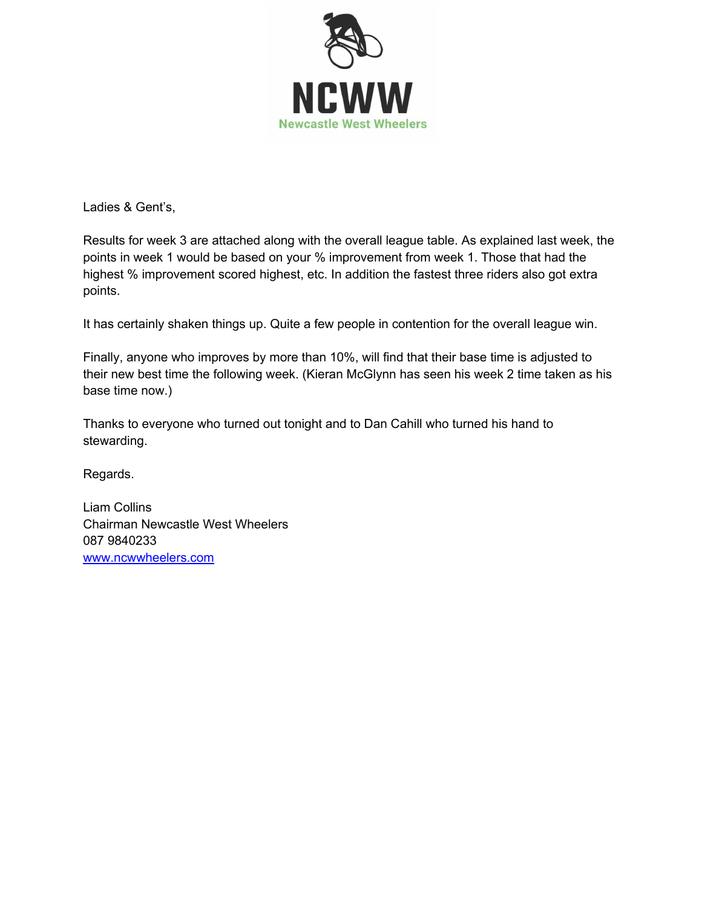

Ladies & Gent's,

Results for week 3 are attached along with the overall league table. As explained last week, the points in week 1 would be based on your % improvement from week 1. Those that had the highest % improvement scored highest, etc. In addition the fastest three riders also got extra points.

It has certainly shaken things up. Quite a few people in contention for the overall league win.

Finally, anyone who improves by more than 10%, will find that their base time is adjusted to their new best time the following week. (Kieran McGlynn has seen his week 2 time taken as his base time now.)

Thanks to everyone who turned out tonight and to Dan Cahill who turned his hand to stewarding.

Regards.

Liam Collins Chairman Newcastle West Wheelers 087 9840233 www.ncwwheelers.com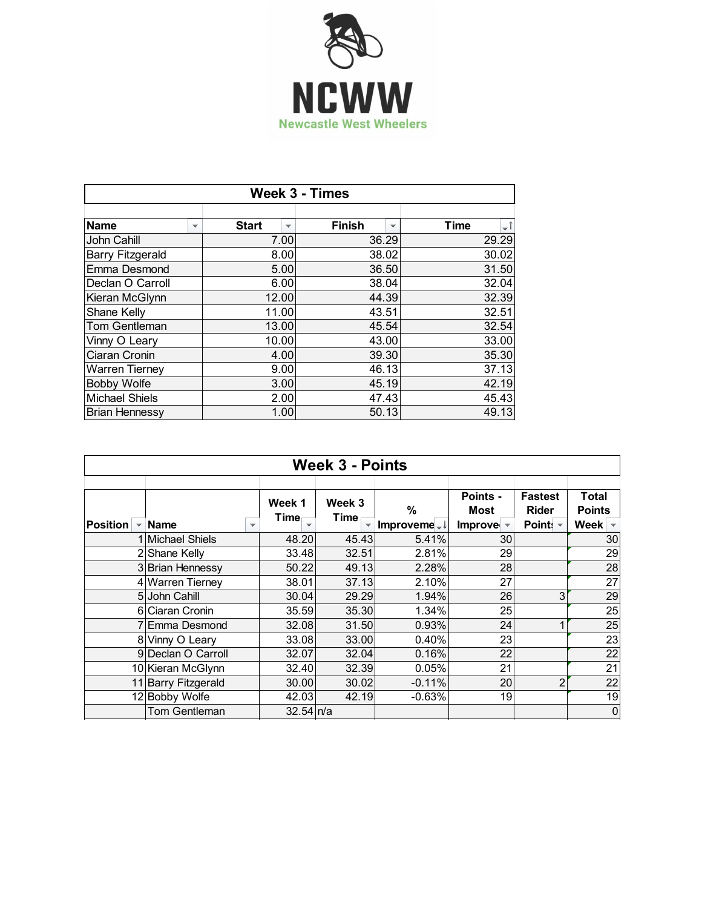

| <b>Week 3 - Times</b>   |                          |                                          |                                    |                   |  |  |  |
|-------------------------|--------------------------|------------------------------------------|------------------------------------|-------------------|--|--|--|
|                         |                          |                                          |                                    |                   |  |  |  |
| <b>Name</b>             | $\overline{\phantom{a}}$ | <b>Start</b><br>$\overline{\phantom{a}}$ | Finish<br>$\overline{\phantom{a}}$ | ÷Î<br><b>Time</b> |  |  |  |
| John Cahill             |                          | 7.00                                     | 36.29                              | 29.29             |  |  |  |
| <b>Barry Fitzgerald</b> |                          | 8.00                                     | 38.02                              | 30.02             |  |  |  |
| Emma Desmond            |                          | 5.00                                     | 36.50                              | 31.50             |  |  |  |
| Declan O Carroll        |                          | 6.00                                     | 38.04                              | 32.04             |  |  |  |
| Kieran McGlynn          |                          | 12.00                                    | 44.39                              | 32.39             |  |  |  |
| Shane Kelly             |                          | 11.00                                    | 43.51                              | 32.51             |  |  |  |
| <b>Tom Gentleman</b>    |                          | 13.00                                    | 45.54                              | 32.54             |  |  |  |
| Vinny O Leary           |                          | 10.00                                    | 43.00                              | 33.00             |  |  |  |
| Ciaran Cronin           |                          | 4.00                                     | 39.30                              | 35.30             |  |  |  |
| <b>Warren Tierney</b>   |                          | 9.00                                     | 46.13                              | 37.13             |  |  |  |
| <b>Bobby Wolfe</b>      |                          | 3.00                                     | 45.19                              | 42.19             |  |  |  |
| <b>Michael Shiels</b>   |                          | 2.00                                     | 47.43                              | 45.43             |  |  |  |
| <b>Brian Hennessy</b>   |                          | 1.00                                     | 50.13                              | 49.13             |  |  |  |

| <b>Week 3 - Points</b> |                                         |                        |                |                                          |                                                             |                                            |                                                            |  |  |
|------------------------|-----------------------------------------|------------------------|----------------|------------------------------------------|-------------------------------------------------------------|--------------------------------------------|------------------------------------------------------------|--|--|
| <b>Position</b>        | <b>Name</b><br>$\overline{\phantom{a}}$ | Week 1<br>Time         | Week 3<br>Time | $\frac{0}{0}$<br>Improveme <sup>-1</sup> | Points -<br><b>Most</b><br>Improve $\overline{\phantom{a}}$ | <b>Fastest</b><br><b>Rider</b><br>Point: - | Total<br><b>Points</b><br>Week<br>$\overline{\phantom{a}}$ |  |  |
|                        | 1 Michael Shiels                        | 48.20                  | 45.43          | 5.41%                                    | 30                                                          |                                            | 30                                                         |  |  |
|                        | 2 Shane Kelly                           | 33.48                  | 32.51          | 2.81%                                    | 29                                                          |                                            | 29                                                         |  |  |
|                        | 3 Brian Hennessy                        | 50.22                  | 49.13          | 2.28%                                    | 28                                                          |                                            | 28                                                         |  |  |
|                        | 4 Warren Tierney                        | 38.01                  | 37.13          | 2.10%                                    | 27                                                          |                                            | 27                                                         |  |  |
|                        | 5 John Cahill                           | 30.04                  | 29.29          | 1.94%                                    | 26                                                          | 3                                          | 29                                                         |  |  |
|                        | 6 Ciaran Cronin                         | 35.59                  | 35.30          | 1.34%                                    | 25                                                          |                                            | 25                                                         |  |  |
|                        | 7 Emma Desmond                          | 32.08                  | 31.50          | 0.93%                                    | 24                                                          |                                            | 25                                                         |  |  |
|                        | 8 Vinny O Leary                         | 33.08                  | 33.00          | 0.40%                                    | 23                                                          |                                            | 23                                                         |  |  |
|                        | 9 Declan O Carroll                      | 32.07                  | 32.04          | 0.16%                                    | 22                                                          |                                            | 22                                                         |  |  |
|                        | 10 Kieran McGlynn                       | 32.40                  | 32.39          | 0.05%                                    | 21                                                          |                                            | 21                                                         |  |  |
|                        | 11 Barry Fitzgerald                     | 30.00                  | 30.02          | $-0.11%$                                 | 20                                                          | $\overline{2}$                             | 22                                                         |  |  |
|                        | 12 Bobby Wolfe                          | 42.03                  | 42.19          | $-0.63%$                                 | 19                                                          |                                            | 19                                                         |  |  |
|                        | Tom Gentleman                           | $32.54 \, \text{ln/a}$ |                |                                          |                                                             |                                            | $\mathbf 0$                                                |  |  |